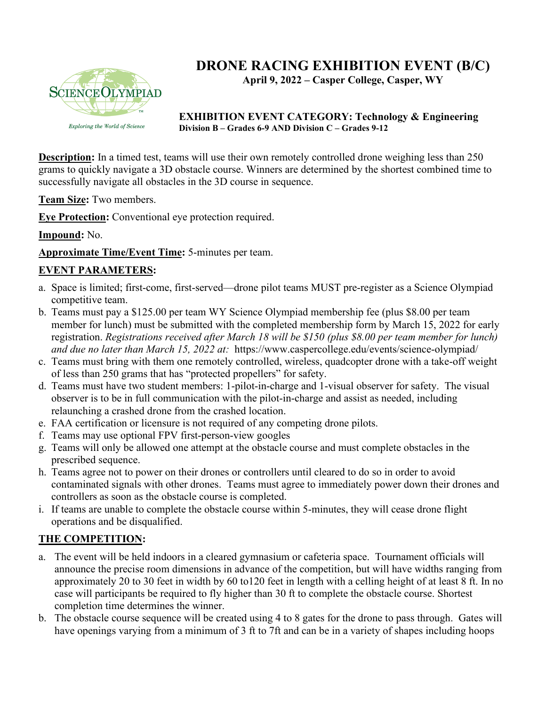

# **DRONE RACING EXHIBITION EVENT (B/C)**

**April 9, 2022 – Casper College, Casper, WY**

#### **EXHIBITION EVENT CATEGORY: Technology & Engineering Division B – Grades 6-9 AND Division C – Grades 9-12**

**Description:** In a timed test, teams will use their own remotely controlled drone weighing less than 250 grams to quickly navigate a 3D obstacle course. Winners are determined by the shortest combined time to successfully navigate all obstacles in the 3D course in sequence.

**Team Size:** Two members.

**Eye Protection:** Conventional eye protection required.

**Impound:** No.

**Approximate Time/Event Time:** 5-minutes per team.

## **EVENT PARAMETERS:**

- a. Space is limited; first-come, first-served—drone pilot teams MUST pre-register as a Science Olympiad competitive team.
- b. Teams must pay a \$125.00 per team WY Science Olympiad membership fee (plus \$8.00 per team member for lunch) must be submitted with the completed membership form by March 15, 2022 for early registration. *Registrations received after March 18 will be \$150 (plus \$8.00 per team member for lunch) and due no later than March 15, 2022 at:* https://www.caspercollege.edu/events/science-olympiad/
- c. Teams must bring with them one remotely controlled, wireless, quadcopter drone with a take-off weight of less than 250 grams that has "protected propellers" for safety.
- d. Teams must have two student members: 1-pilot-in-charge and 1-visual observer for safety. The visual observer is to be in full communication with the pilot-in-charge and assist as needed, including relaunching a crashed drone from the crashed location.
- e. FAA certification or licensure is not required of any competing drone pilots.
- f. Teams may use optional FPV first-person-view googles
- g. Teams will only be allowed one attempt at the obstacle course and must complete obstacles in the prescribed sequence.
- h. Teams agree not to power on their drones or controllers until cleared to do so in order to avoid contaminated signals with other drones. Teams must agree to immediately power down their drones and controllers as soon as the obstacle course is completed.
- i. If teams are unable to complete the obstacle course within 5-minutes, they will cease drone flight operations and be disqualified.

### **THE COMPETITION:**

- a. The event will be held indoors in a cleared gymnasium or cafeteria space. Tournament officials will announce the precise room dimensions in advance of the competition, but will have widths ranging from approximately 20 to 30 feet in width by 60 to120 feet in length with a celling height of at least 8 ft. In no case will participants be required to fly higher than 30 ft to complete the obstacle course. Shortest completion time determines the winner.
- b. The obstacle course sequence will be created using 4 to 8 gates for the drone to pass through. Gates will have openings varying from a minimum of 3 ft to 7ft and can be in a variety of shapes including hoops